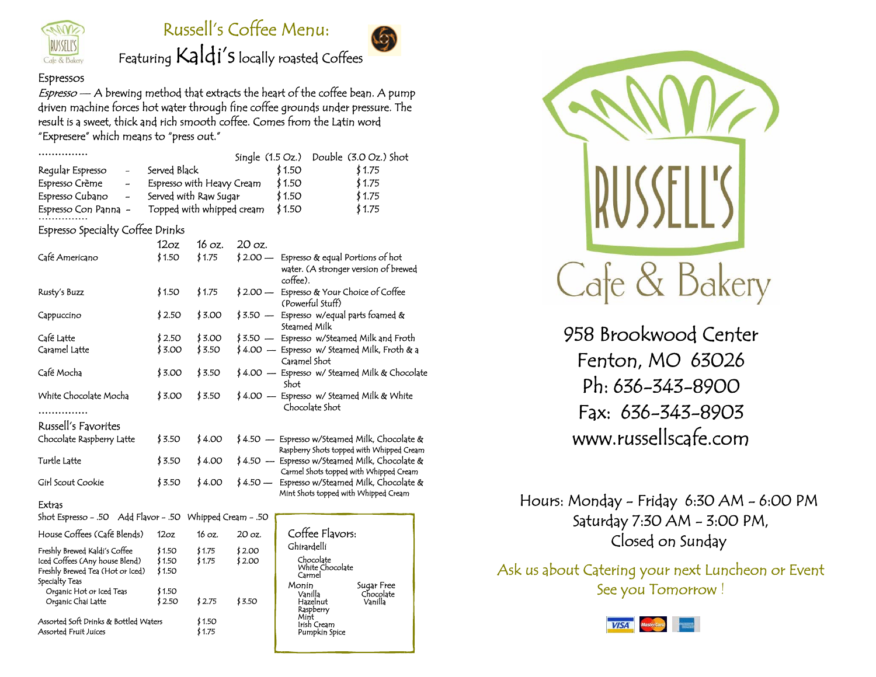

# Russell's Coffee Menu:



# Featuring Kaldi's locally roasted Coffees

### Espressos

Freshly Brewed Tea (Hot or Iced) \$ 1.50

Organic Hot or Iced Teas \$1.50<br>Organic Chai Latte \$2.50

Assorted Soft Drinks & Bottled Waters \$1.50 Assorted Fruit Juices \$ 1.75

Organic Chai Latte \$ 2.50 \$ 2.75 \$ 3.50

Specialty Teas

 $E$ spresso  $-$  A brewing method that extracts the heart of the coffee bean. A pump driven machine forces hot water through fine coffee grounds under pressure. The result is a sweet, thick and rich smooth coffee. Comes from the Latin word "Expresere" which means to "press out."

|                                                                                        |                                               |        | Single $(1.5 \text{ Oz.})$ | Double (3.0 Oz.) Shot                                                                      |
|----------------------------------------------------------------------------------------|-----------------------------------------------|--------|----------------------------|--------------------------------------------------------------------------------------------|
| Regular Espresso<br>$\overline{a}$                                                     | Served Black                                  |        |                            | \$1.50<br>\$1.75                                                                           |
| Espresso Crème<br>$\overline{a}$                                                       | Espresso with Heavy Cream<br>\$1.50<br>\$1.75 |        |                            |                                                                                            |
| Espresso Cubano<br>$\overline{a}$                                                      | \$1.50<br>Served with Raw Sugar<br>\$1.75     |        |                            |                                                                                            |
| Espresso Con Panna -                                                                   | Topped with whipped cream                     |        |                            | \$1.50<br>\$1.75                                                                           |
| Espresso Specialty Coffee Drinks                                                       |                                               |        |                            |                                                                                            |
|                                                                                        | 12oz                                          | 16 oz. | 20 oz.                     |                                                                                            |
| Café Americano                                                                         | \$1.50                                        | \$1.75 | $$2.00-$                   | Espresso & equal Portions of hot<br>water. (A stronger version of brewed<br>coffee).       |
| Rusty's Buzz                                                                           | \$1.50                                        | \$1.75 | \$ 2.00 —                  | Espresso & Your Choice of Coffee<br>(Powerful Stuff)                                       |
| Cappuccino                                                                             | \$2.50                                        | \$3.00 | $$3.50 -$                  | Espresso w/equal parts foamed &<br>Steamed Milk                                            |
| Café La <del>tt</del> e                                                                | \$2.50                                        | \$3.00 |                            | \$3.50 — Espresso w/Steamed Milk and Froth                                                 |
| Caramel Latte                                                                          | \$3.00                                        | \$3.50 |                            | ≸ 4.00 — Espresso w/ Steamed Milk, Froth & a<br>Caramel Shot                               |
| Café Mocha                                                                             | \$3.00                                        | \$3.50 |                            | \$4.00 - Espresso w/ Steamed Milk & Chocolate<br>Shot                                      |
| White Chocolate Mocha                                                                  | \$3.00                                        | \$3.50 | $$4.00 -$                  | Espresso w/ Steamed Milk & White<br>Chocolate Shot                                         |
| Russell's Favorites                                                                    |                                               |        |                            |                                                                                            |
| Chocolate Raspberry Latte                                                              | \$3.50                                        | \$4.00 |                            | \$4.50 — Espresso w/Steamed Milk, Chocolate &<br>Raspberry Shots topped with Whipped Cream |
| Turtle Latte                                                                           | \$3.50                                        | \$4.00 |                            | \$4.50 — Espresso w/Steamed Milk, Chocolate &<br>Carmel Shots topped with Whipped Cream    |
| Girl Scout Cookie                                                                      | \$3.50                                        | \$4.00 | $$4.50 -$                  | Espresso w/Steamed Milk, Chocolate &<br>Mint Shots topped with Whipped Cream               |
| Extras                                                                                 |                                               |        |                            |                                                                                            |
| 50. - Shot Espresso - .50 Add Flavor - .50 Whipped Cream                               |                                               |        |                            |                                                                                            |
| House Coffees (Café Blends)                                                            | 12oz                                          | 16 oz. | 20 oz.                     | Coffee Flavors:                                                                            |
| Freshly Brewed Kaldi's Coffee                                                          | \$1.50                                        | \$1.75 | \$2.00                     | Ghirardelli                                                                                |
| Iced Coffees (Any house Blend)<br>المناسب المنازلة المتعادل المستوفي بالماضية المناسبة | \$1.50<br>1150                                | \$1.75 | \$2.00                     | Chocolate<br>White Chocolate                                                               |

Carmel

Raspberry<br>Mint<br>Irish Cream Pumpkin Spice

Monin Sugar Free Vanilla Chocolate Hazelnut Vanilla



958 Brookwood Center Fenton, MO 63026 Ph: 636-343-8900 Fax: 636-343-8903 www.russellscafe.com

Hours: Monday - Friday 6:30 AM - 6:00 PM Saturday 7:30 AM - 3:00 PM, Closed on Sunday

Ask us about Catering your next Luncheon or Event See you Tomorrow !